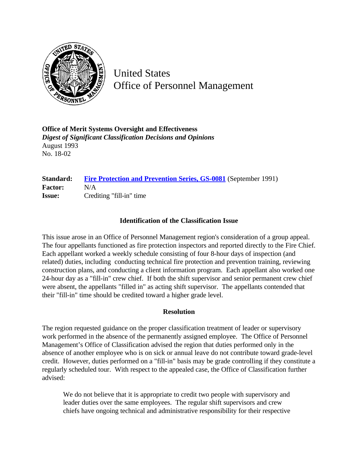

United States Office of Personnel Management

**Office of Merit Systems Oversight and Effectiveness** *Digest of Significant Classification Decisions and Opinions* August 1993 No. 18-02

## **Standard:** [Fire Protection and Prevention Series, GS-0081](http://www.opm.gov/hr/fedclass/gs0081.pdf) (September 1991) **Factor:** N/A **Issue:** Crediting "fill-in" time

## **Identification of the Classification Issue**

This issue arose in an Office of Personnel Management region's consideration of a group appeal. The four appellants functioned as fire protection inspectors and reported directly to the Fire Chief. Each appellant worked a weekly schedule consisting of four 8-hour days of inspection (and related) duties, including conducting technical fire protection and prevention training, reviewing construction plans, and conducting a client information program. Each appellant also worked one 24-hour day as a "fill-in" crew chief. If both the shift supervisor and senior permanent crew chief were absent, the appellants "filled in" as acting shift supervisor. The appellants contended that their "fill-in" time should be credited toward a higher grade level.

## **Resolution**

The region requested guidance on the proper classification treatment of leader or supervisory work performed in the absence of the permanently assigned employee. The Office of Personnel Management's Office of Classification advised the region that duties performed only in the absence of another employee who is on sick or annual leave do not contribute toward grade-level credit. However, duties performed on a "fill-in" basis may be grade controlling if they constitute a regularly scheduled tour. With respect to the appealed case, the Office of Classification further advised:

We do not believe that it is appropriate to credit two people with supervisory and leader duties over the same employees. The regular shift supervisors and crew chiefs have ongoing technical and administrative responsibility for their respective